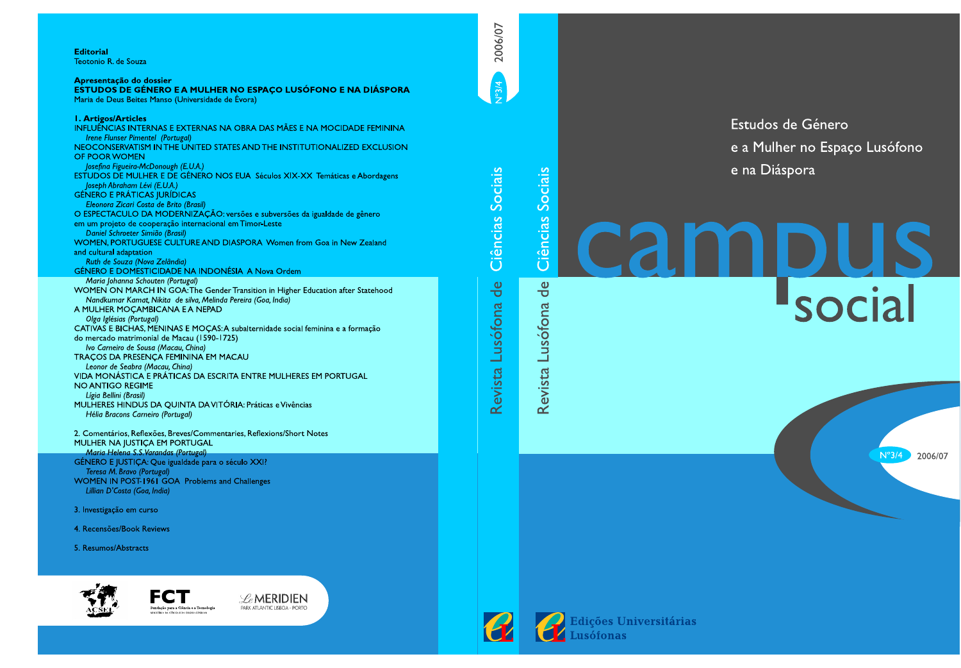### **Editorial** Teotonio R. de Souza

# Apresentação do dossier

ESTUDOS DE GÉNERO E A MULHER NO ESPAÇO LUSÓFONO E NA DIÁSPORA Maria de Deus Beites Manso (Universidade de Évora)

| <b>I. Artigos/Articles</b>                                                       |
|----------------------------------------------------------------------------------|
| INFLUÊNCIAS INTERNAS E EXTERNAS NA OBRA DAS MÃES E NA MOCIDADE FEMINII           |
| Irene Flunser Pimentel (Portugal)                                                |
| NEOCONSERVATISM IN THE UNITED STATES AND THE INSTITUTIONALIZED EXCLUSI           |
| OF POOR WOMEN                                                                    |
| Josefina Figueira-McDonough (E.U.A.)                                             |
| ESTUDOS DE MULHER E DE GÉNERO NOS EUA Séculos XIX-XX Temáticas e Abordager       |
| Joseph Abraham Lévi (E.U.A.)                                                     |
| <b>GÉNERO E PRÁTICAS JURÍDICAS</b>                                               |
| Eleonora Zicari Costa de Brito (Brasil)                                          |
| O ESPECTACULO DA MODERNIZAÇÃO: versões e subversões da igualdade de gênero       |
| em um projeto de cooperação internacional em Timor Leste                         |
| Daniel Schroeter Simião (Brasil)                                                 |
| WOMEN, PORTUGUESE CULTURE AND DIASPORA Women from Goa in New Zealand             |
| and cultural adaptation                                                          |
| Ruth de Souza (Nova Zelândia)                                                    |
| <b>GÉNERO E DOMESTICIDADE NA INDONÉSIA A Nova Ordem</b>                          |
| Maria Johanna Schouten (Portugal)                                                |
| WOMEN ON MARCH IN GOA: The Gender Transition in Higher Education after Statehood |
| Nandkumar Kamat, Nikita de silva, Melinda Pereira (Goa, India)                   |
| A MULHER MOCAMBICANA E A NEPAD                                                   |
| Olga Iglésias (Portugal)                                                         |
| CATIVAS E BICHAS, MENINAS E MOÇAS: A subalternidade social feminina e a formação |
| do mercado matrimonial de Macau (1590-1725)                                      |
| Ivo Carneiro de Sousa (Macau, China)                                             |
| TRACOS DA PRESENCA FEMININA EM MACAU                                             |
| Leonor de Seabra (Macau, China)                                                  |
| VIDA MONÁSTICA E PRÁTICAS DA ESCRITA ENTRE MULHERES EM PORTUGAL                  |
| NO ANTIGO REGIME                                                                 |
|                                                                                  |

- Lígia Bellini (Brasil) MULHERES HINDUS DA QUINTA DA VITÓRIA: Práticas e Vivências Hélia Bracons Carneiro (Portugal)
- 2. Comentários, Reflexões, Breves/Commentaries, Reflexions/Short Notes MULHER NA JUSTIÇA EM PORTUGAL Maria Helena S.S. Varandas (Portugal) GÉNERO E JUSTIÇA: Que igualdade para o século XXI? Teresa M. Bravo (Portugal) WOMEN IN POST-1961 GOA Problems and Challenges
- Lillian D'Costa (Goa, India)

3. Investigação em curso

4. Recensões/Book Reviews

5. Resumos/Abstracts





Ciências Sociais

Revista Lusófona de

**FEMININA** 

**EXCLUSION** 

pordagens

Estudos de Género e a Mulher no Espaço Lusófono e na Diáspora

 $N^{\circ}3/4$ 

2006/07

# Ciências Sociais cam **DIUS**<br>Social  $\overline{d}$ Revista Lusófona

**PEdições Universitárias<br>Exercicions**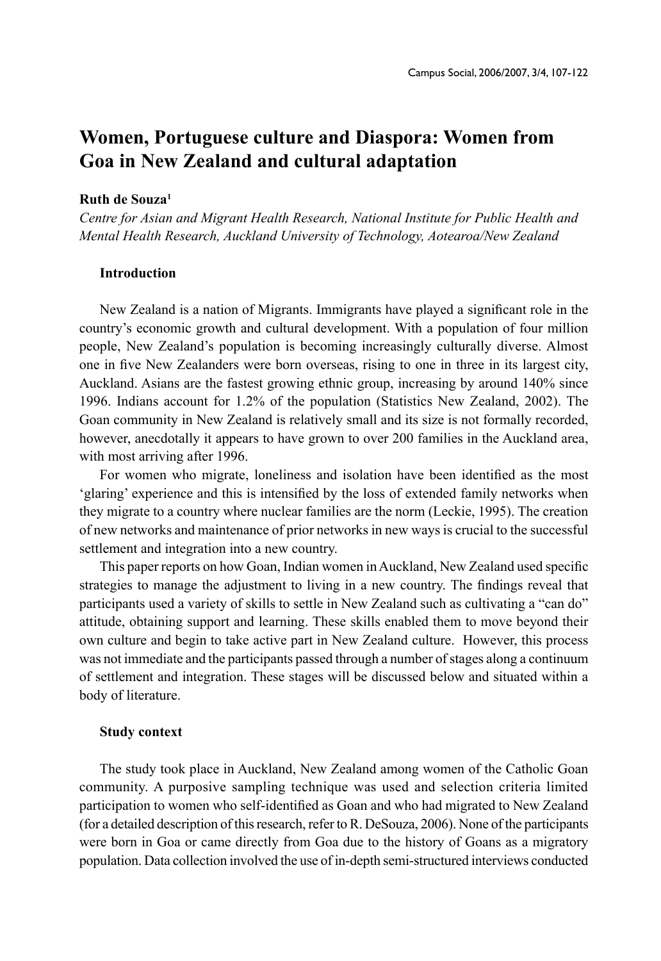# **Women, Portuguese culture and Diaspora: Women from Goa in New Zealand and cultural adaptation**

### **Ruth de Souza1**

*Centre for Asian and Migrant Health Research, National Institute for Public Health and Mental Health Research, Auckland University of Technology, Aotearoa/New Zealand* 

# **Introduction**

New Zealand is a nation of Migrants. Immigrants have played a significant role in the country's economic growth and cultural development. With a population of four million people, New Zealand's population is becoming increasingly culturally diverse. Almost one in five New Zealanders were born overseas, rising to one in three in its largest city, Auckland. Asians are the fastest growing ethnic group, increasing by around 140% since 1996. Indians account for 1.2% of the population (Statistics New Zealand, 2002). The Goan community in New Zealand is relatively small and its size is not formally recorded, however, anecdotally it appears to have grown to over 200 families in the Auckland area, with most arriving after 1996.

For women who migrate, loneliness and isolation have been identified as the most 'glaring' experience and this is intensified by the loss of extended family networks when they migrate to a country where nuclear families are the norm (Leckie, 1995). The creation of new networks and maintenance of prior networks in new ways is crucial to the successful settlement and integration into a new country.

This paper reports on how Goan, Indian women in Auckland, New Zealand used specific strategies to manage the adjustment to living in a new country. The findings reveal that participants used a variety of skills to settle in New Zealand such as cultivating a "can do" attitude, obtaining support and learning. These skills enabled them to move beyond their own culture and begin to take active part in New Zealand culture. However, this process was not immediate and the participants passed through a number of stages along a continuum of settlement and integration. These stages will be discussed below and situated within a body of literature.

### **Study context**

The study took place in Auckland, New Zealand among women of the Catholic Goan community. A purposive sampling technique was used and selection criteria limited participation to women who self-identified as Goan and who had migrated to New Zealand (for a detailed description of this research, refer to R. DeSouza, 2006). None of the participants were born in Goa or came directly from Goa due to the history of Goans as a migratory population. Data collection involved the use of in-depth semi-structured interviews conducted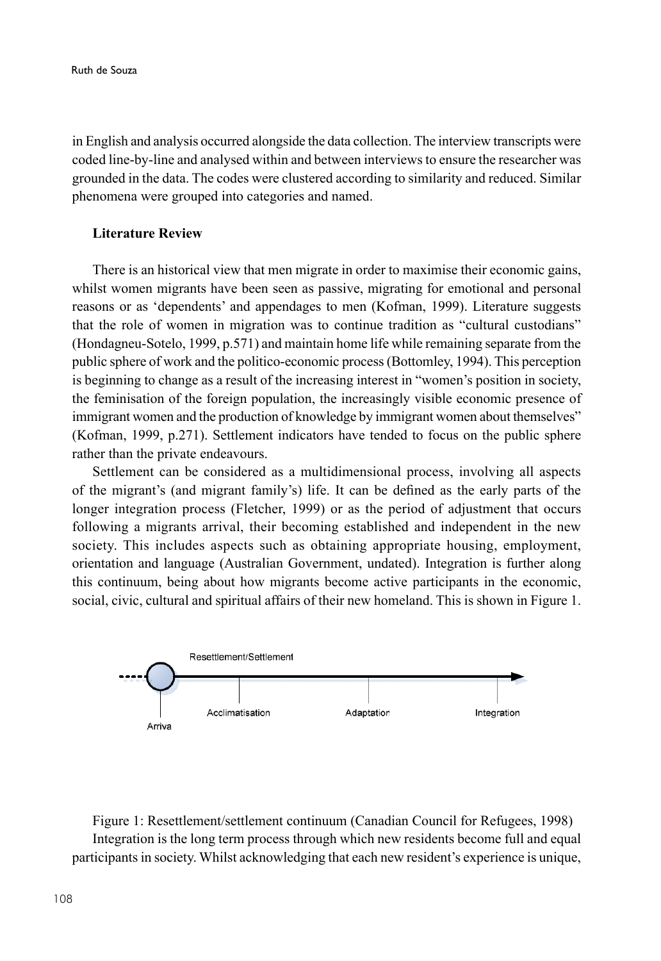in English and analysis occurred alongside the data collection. The interview transcripts were coded line-by-line and analysed within and between interviews to ensure the researcher was grounded in the data. The codes were clustered according to similarity and reduced. Similar phenomena were grouped into categories and named.

### **Literature Review**

There is an historical view that men migrate in order to maximise their economic gains, whilst women migrants have been seen as passive, migrating for emotional and personal reasons or as 'dependents' and appendages to men (Kofman, 1999). Literature suggests that the role of women in migration was to continue tradition as "cultural custodians" (Hondagneu-Sotelo, 1999, p.571) and maintain home life while remaining separate from the public sphere of work and the politico-economic process (Bottomley, 1994). This perception is beginning to change as a result of the increasing interest in "women's position in society, the feminisation of the foreign population, the increasingly visible economic presence of immigrant women and the production of knowledge by immigrant women about themselves" (Kofman, 1999, p.271). Settlement indicators have tended to focus on the public sphere rather than the private endeavours.

Settlement can be considered as a multidimensional process, involving all aspects of the migrant's (and migrant family's) life. It can be defined as the early parts of the longer integration process (Fletcher, 1999) or as the period of adjustment that occurs following a migrants arrival, their becoming established and independent in the new society. This includes aspects such as obtaining appropriate housing, employment, orientation and language (Australian Government, undated). Integration is further along this continuum, being about how migrants become active participants in the economic, social, civic, cultural and spiritual affairs of their new homeland. This is shown in Figure 1.



Figure 1: Resettlement/settlement continuum (Canadian Council for Refugees, 1998) Integration is the long term process through which new residents become full and equal participants in society. Whilst acknowledging that each new resident's experience is unique,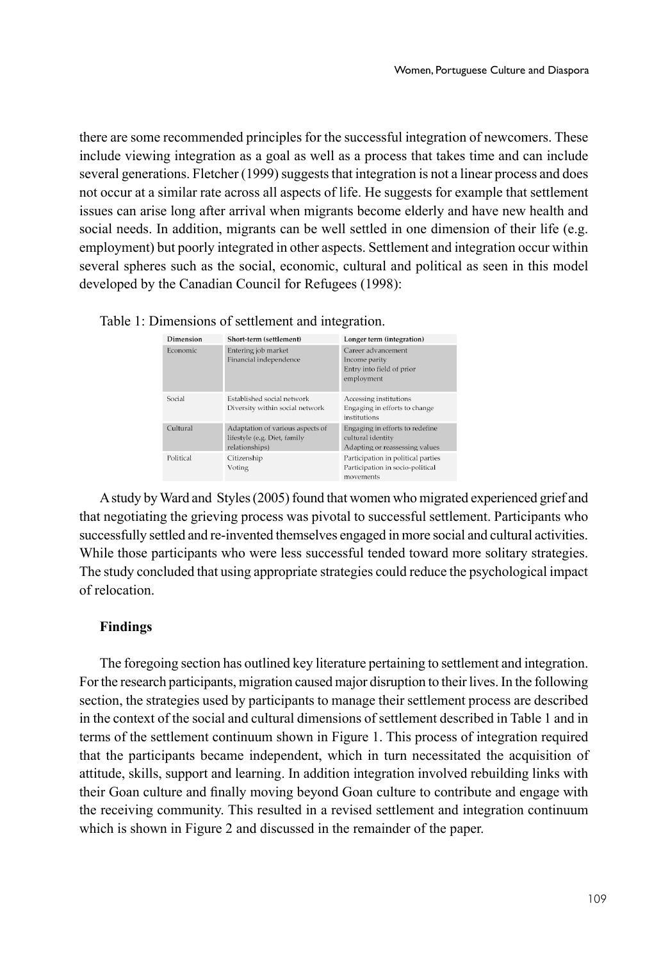there are some recommended principles for the successful integration of newcomers. These include viewing integration as a goal as well as a process that takes time and can include several generations. Fletcher (1999) suggests that integration is not a linear process and does not occur at a similar rate across all aspects of life. He suggests for example that settlement issues can arise long after arrival when migrants become elderly and have new health and social needs. In addition, migrants can be well settled in one dimension of their life (e.g. employment) but poorly integrated in other aspects. Settlement and integration occur within several spheres such as the social, economic, cultural and political as seen in this model developed by the Canadian Council for Refugees (1998):

|  |  |  |  |  |  |  | Table 1: Dimensions of settlement and integration. |  |
|--|--|--|--|--|--|--|----------------------------------------------------|--|
|--|--|--|--|--|--|--|----------------------------------------------------|--|

| Dimension | Short-term (settlement)                                                            | Longer term (integration)                                                              |
|-----------|------------------------------------------------------------------------------------|----------------------------------------------------------------------------------------|
| Economic  | Entering job market<br>Financial independence                                      | Career advancement<br>Income parity<br>Entry into field of prior<br>employment         |
| Social    | Established social network<br>Diversity within social network                      | Accessing institutions<br>Engaging in efforts to change<br>institutions                |
| Cultural  | Adaptation of various aspects of<br>lifestyle (e.g. Diet, family<br>relationships) | Engaging in efforts to redefine<br>cultural identity<br>Adapting or reassessing values |
| Political | Citizenship<br>Voting                                                              | Participation in political parties<br>Participation in socio-political<br>maramante    |

A study by Ward and Styles (2005) found that women who migrated experienced grief and that negotiating the grieving process was pivotal to successful settlement. Participants who successfully settled and re-invented themselves engaged in more social and cultural activities. While those participants who were less successful tended toward more solitary strategies. The study concluded that using appropriate strategies could reduce the psychological impact of relocation.

# **Findings**

The foregoing section has outlined key literature pertaining to settlement and integration. For the research participants, migration caused major disruption to their lives. In the following section, the strategies used by participants to manage their settlement process are described in the context of the social and cultural dimensions of settlement described in Table 1 and in terms of the settlement continuum shown in Figure 1. This process of integration required that the participants became independent, which in turn necessitated the acquisition of attitude, skills, support and learning. In addition integration involved rebuilding links with their Goan culture and finally moving beyond Goan culture to contribute and engage with the receiving community. This resulted in a revised settlement and integration continuum which is shown in Figure 2 and discussed in the remainder of the paper.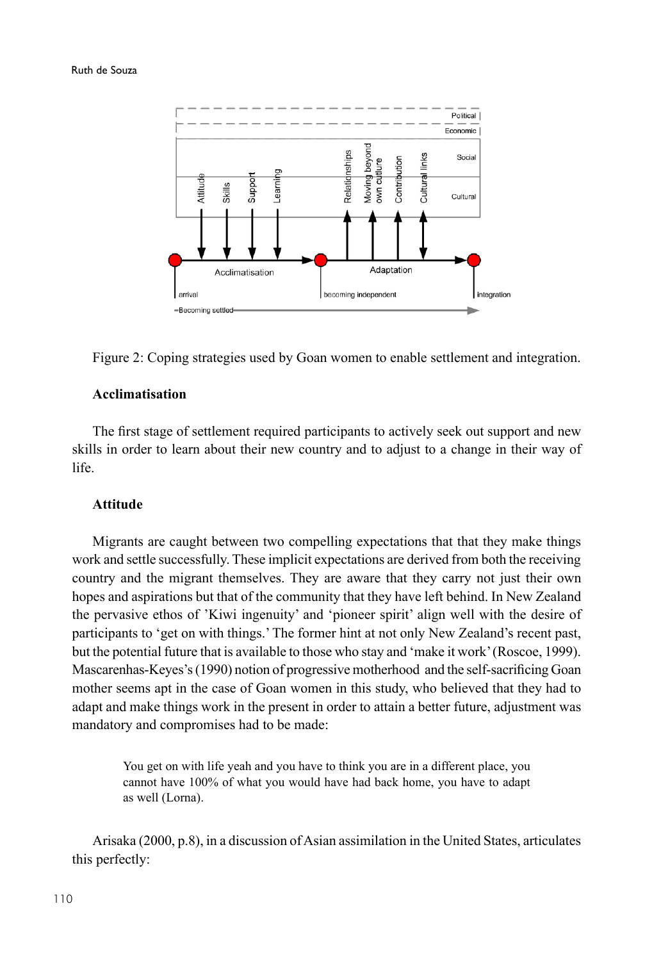

Figure 2: Coping strategies used by Goan women to enable settlement and integration.

# **Acclimatisation**

The first stage of settlement required participants to actively seek out support and new skills in order to learn about their new country and to adjust to a change in their way of life.

# **Attitude**

Migrants are caught between two compelling expectations that that they make things work and settle successfully. These implicit expectations are derived from both the receiving country and the migrant themselves. They are aware that they carry not just their own hopes and aspirations but that of the community that they have left behind. In New Zealand the pervasive ethos of 'Kiwi ingenuity' and 'pioneer spirit' align well with the desire of participants to 'get on with things.' The former hint at not only New Zealand's recent past, but the potential future that is available to those who stay and 'make it work' (Roscoe, 1999). Mascarenhas-Keyes's (1990) notion of progressive motherhood and the self-sacrificing Goan mother seems apt in the case of Goan women in this study, who believed that they had to adapt and make things work in the present in order to attain a better future, adjustment was mandatory and compromises had to be made:

You get on with life yeah and you have to think you are in a different place, you cannot have 100% of what you would have had back home, you have to adapt as well (Lorna).

Arisaka (2000, p.8), in a discussion of Asian assimilation in the United States, articulates this perfectly: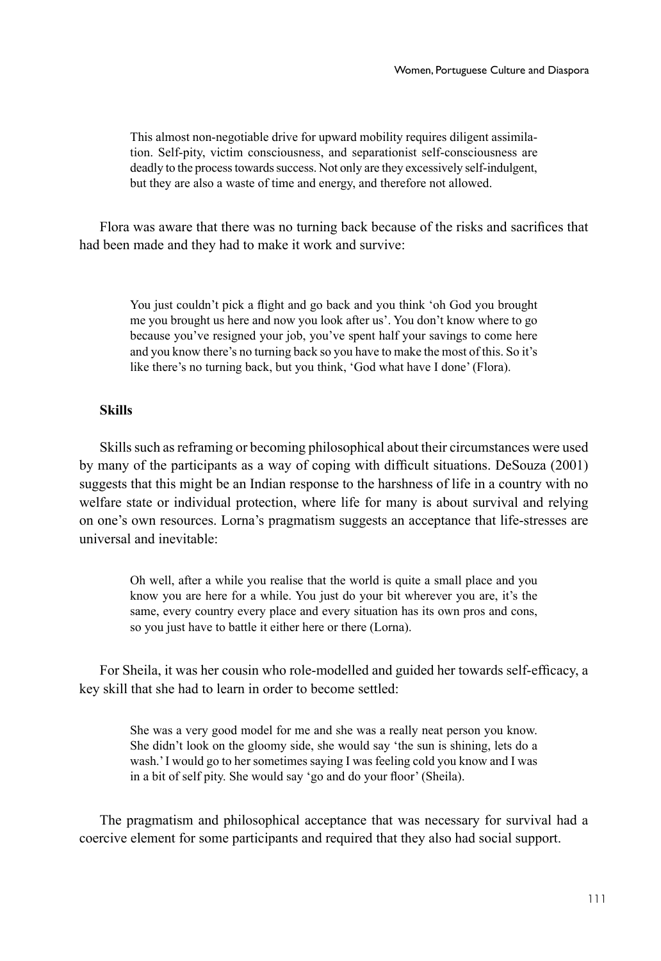This almost non-negotiable drive for upward mobility requires diligent assimilation. Self-pity, victim consciousness, and separationist self-consciousness are deadly to the process towards success. Not only are they excessively self-indulgent, but they are also a waste of time and energy, and therefore not allowed.

Flora was aware that there was no turning back because of the risks and sacrifices that had been made and they had to make it work and survive:

> You just couldn't pick a flight and go back and you think 'oh God you brought me you brought us here and now you look after us'. You don't know where to go because you've resigned your job, you've spent half your savings to come here and you know there's no turning back so you have to make the most of this. So it's like there's no turning back, but you think, 'God what have I done' (Flora).

# **Skills**

Skills such as reframing or becoming philosophical about their circumstances were used by many of the participants as a way of coping with difficult situations. DeSouza (2001) suggests that this might be an Indian response to the harshness of life in a country with no welfare state or individual protection, where life for many is about survival and relying on one's own resources. Lorna's pragmatism suggests an acceptance that life-stresses are universal and inevitable:

> Oh well, after a while you realise that the world is quite a small place and you know you are here for a while. You just do your bit wherever you are, it's the same, every country every place and every situation has its own pros and cons, so you just have to battle it either here or there (Lorna).

For Sheila, it was her cousin who role-modelled and guided her towards self-efficacy, a key skill that she had to learn in order to become settled:

> She was a very good model for me and she was a really neat person you know. She didn't look on the gloomy side, she would say 'the sun is shining, lets do a wash.' I would go to her sometimes saying I was feeling cold you know and I was in a bit of self pity. She would say 'go and do your floor' (Sheila).

The pragmatism and philosophical acceptance that was necessary for survival had a coercive element for some participants and required that they also had social support.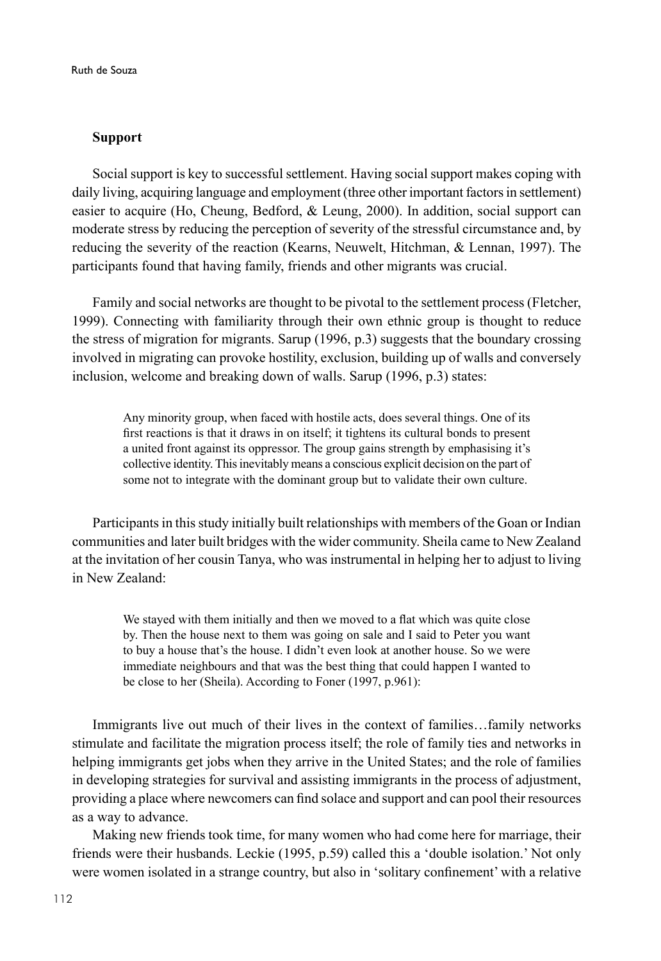# **Support**

Social support is key to successful settlement. Having social support makes coping with daily living, acquiring language and employment (three other important factors in settlement) easier to acquire (Ho, Cheung, Bedford, & Leung, 2000). In addition, social support can moderate stress by reducing the perception of severity of the stressful circumstance and, by reducing the severity of the reaction (Kearns, Neuwelt, Hitchman, & Lennan, 1997). The participants found that having family, friends and other migrants was crucial.

Family and social networks are thought to be pivotal to the settlement process (Fletcher, 1999). Connecting with familiarity through their own ethnic group is thought to reduce the stress of migration for migrants. Sarup (1996, p.3) suggests that the boundary crossing involved in migrating can provoke hostility, exclusion, building up of walls and conversely inclusion, welcome and breaking down of walls. Sarup (1996, p.3) states:

Any minority group, when faced with hostile acts, does several things. One of its first reactions is that it draws in on itself; it tightens its cultural bonds to present a united front against its oppressor. The group gains strength by emphasising it's collective identity. This inevitably means a conscious explicit decision on the part of some not to integrate with the dominant group but to validate their own culture.

Participants in this study initially built relationships with members of the Goan or Indian communities and later built bridges with the wider community. Sheila came to New Zealand at the invitation of her cousin Tanya, who was instrumental in helping her to adjust to living in New Zealand:

We stayed with them initially and then we moved to a flat which was quite close by. Then the house next to them was going on sale and I said to Peter you want to buy a house that's the house. I didn't even look at another house. So we were immediate neighbours and that was the best thing that could happen I wanted to be close to her (Sheila). According to Foner (1997, p.961):

Immigrants live out much of their lives in the context of families…family networks stimulate and facilitate the migration process itself; the role of family ties and networks in helping immigrants get jobs when they arrive in the United States; and the role of families in developing strategies for survival and assisting immigrants in the process of adjustment, providing a place where newcomers can find solace and support and can pool their resources as a way to advance.

Making new friends took time, for many women who had come here for marriage, their friends were their husbands. Leckie (1995, p.59) called this a 'double isolation.' Not only were women isolated in a strange country, but also in 'solitary confinement' with a relative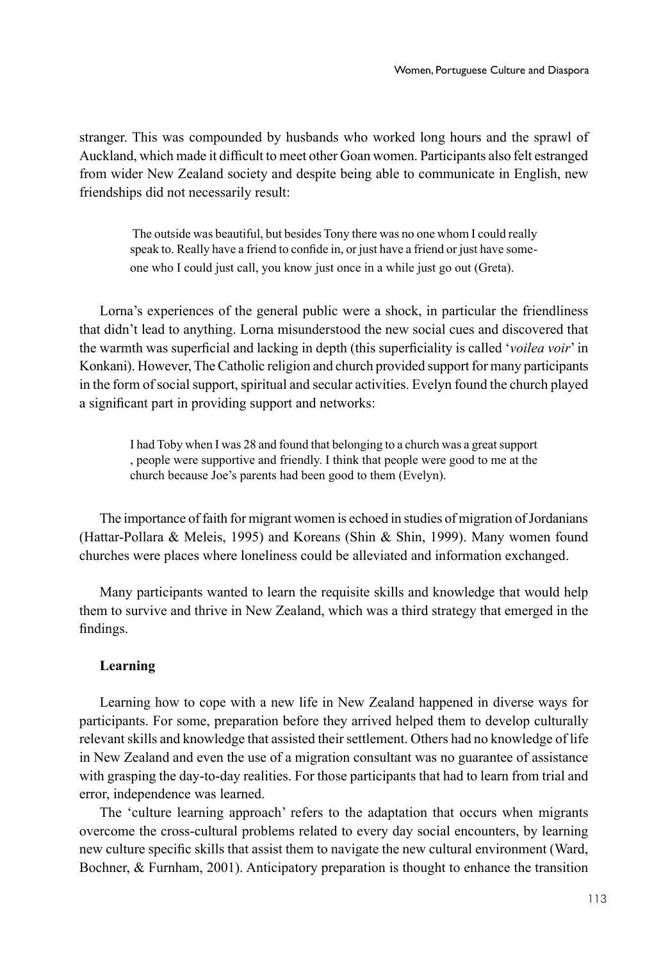stranger. This was compounded by husbands who worked long hours and the sprawl of Auckland, which made it difficult to meet other Goan women. Participants also felt estranged from wider New Zealand society and despite being able to communicate in English, new friendships did not necessarily result:

 The outside was beautiful, but besides Tony there was no one whom I could really speak to. Really have a friend to confide in, or just have a friend or just have someone who I could just call, you know just once in a while just go out (Greta).

Lorna's experiences of the general public were a shock, in particular the friendliness that didn't lead to anything. Lorna misunderstood the new social cues and discovered that the warmth was superficial and lacking in depth (this superficiality is called '*voilea voir*' in Konkani). However, The Catholic religion and church provided support for many participants in the form of social support, spiritual and secular activities. Evelyn found the church played a significant part in providing support and networks:

I had Toby when I was 28 and found that belonging to a church was a great support , people were supportive and friendly. I think that people were good to me at the church because Joe's parents had been good to them (Evelyn).

The importance of faith for migrant women is echoed in studies of migration of Jordanians (Hattar-Pollara & Meleis, 1995) and Koreans (Shin & Shin, 1999). Many women found churches were places where loneliness could be alleviated and information exchanged.

Many participants wanted to learn the requisite skills and knowledge that would help them to survive and thrive in New Zealand, which was a third strategy that emerged in the findings.

# **Learning**

Learning how to cope with a new life in New Zealand happened in diverse ways for participants. For some, preparation before they arrived helped them to develop culturally relevant skills and knowledge that assisted their settlement. Others had no knowledge of life in New Zealand and even the use of a migration consultant was no guarantee of assistance with grasping the day-to-day realities. For those participants that had to learn from trial and error, independence was learned.

The 'culture learning approach' refers to the adaptation that occurs when migrants overcome the cross-cultural problems related to every day social encounters, by learning new culture specific skills that assist them to navigate the new cultural environment (Ward, Bochner, & Furnham, 2001). Anticipatory preparation is thought to enhance the transition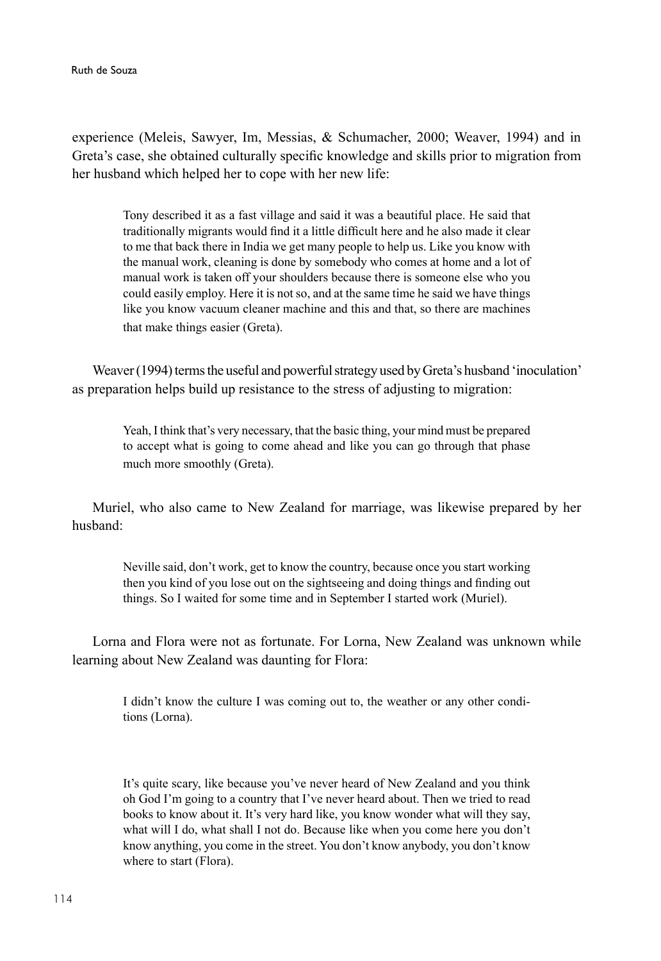experience (Meleis, Sawyer, Im, Messias, & Schumacher, 2000; Weaver, 1994) and in Greta's case, she obtained culturally specific knowledge and skills prior to migration from her husband which helped her to cope with her new life:

Tony described it as a fast village and said it was a beautiful place. He said that traditionally migrants would find it a little difficult here and he also made it clear to me that back there in India we get many people to help us. Like you know with the manual work, cleaning is done by somebody who comes at home and a lot of manual work is taken off your shoulders because there is someone else who you could easily employ. Here it is not so, and at the same time he said we have things like you know vacuum cleaner machine and this and that, so there are machines that make things easier (Greta).

Weaver (1994) terms the useful and powerful strategy used by Greta's husband 'inoculation' as preparation helps build up resistance to the stress of adjusting to migration:

Yeah, I think that's very necessary, that the basic thing, your mind must be prepared to accept what is going to come ahead and like you can go through that phase much more smoothly (Greta).

Muriel, who also came to New Zealand for marriage, was likewise prepared by her husband:

> Neville said, don't work, get to know the country, because once you start working then you kind of you lose out on the sightseeing and doing things and finding out things. So I waited for some time and in September I started work (Muriel).

Lorna and Flora were not as fortunate. For Lorna, New Zealand was unknown while learning about New Zealand was daunting for Flora:

I didn't know the culture I was coming out to, the weather or any other conditions (Lorna).

It's quite scary, like because you've never heard of New Zealand and you think oh God I'm going to a country that I've never heard about. Then we tried to read books to know about it. It's very hard like, you know wonder what will they say, what will I do, what shall I not do. Because like when you come here you don't know anything, you come in the street. You don't know anybody, you don't know where to start (Flora).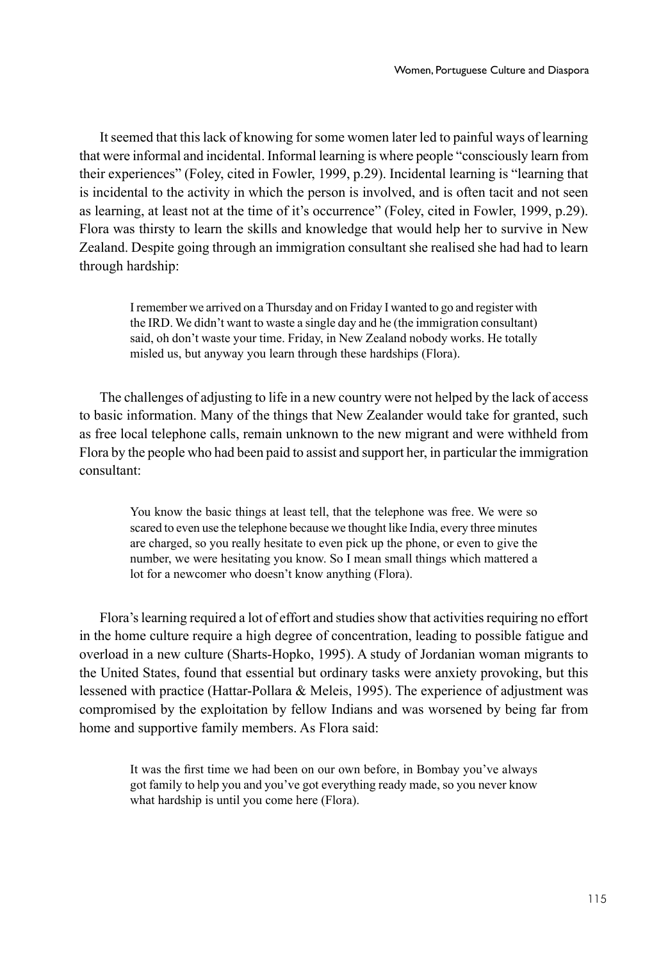It seemed that this lack of knowing for some women later led to painful ways of learning that were informal and incidental. Informal learning is where people "consciously learn from their experiences" (Foley, cited in Fowler, 1999, p.29). Incidental learning is "learning that is incidental to the activity in which the person is involved, and is often tacit and not seen as learning, at least not at the time of it's occurrence" (Foley, cited in Fowler, 1999, p.29). Flora was thirsty to learn the skills and knowledge that would help her to survive in New Zealand. Despite going through an immigration consultant she realised she had had to learn through hardship:

> I remember we arrived on a Thursday and on Friday I wanted to go and register with the IRD. We didn't want to waste a single day and he (the immigration consultant) said, oh don't waste your time. Friday, in New Zealand nobody works. He totally misled us, but anyway you learn through these hardships (Flora).

The challenges of adjusting to life in a new country were not helped by the lack of access to basic information. Many of the things that New Zealander would take for granted, such as free local telephone calls, remain unknown to the new migrant and were withheld from Flora by the people who had been paid to assist and support her, in particular the immigration consultant:

You know the basic things at least tell, that the telephone was free. We were so scared to even use the telephone because we thought like India, every three minutes are charged, so you really hesitate to even pick up the phone, or even to give the number, we were hesitating you know. So I mean small things which mattered a lot for a newcomer who doesn't know anything (Flora).

Flora's learning required a lot of effort and studies show that activities requiring no effort in the home culture require a high degree of concentration, leading to possible fatigue and overload in a new culture (Sharts-Hopko, 1995). A study of Jordanian woman migrants to the United States, found that essential but ordinary tasks were anxiety provoking, but this lessened with practice (Hattar-Pollara & Meleis, 1995). The experience of adjustment was compromised by the exploitation by fellow Indians and was worsened by being far from home and supportive family members. As Flora said:

It was the first time we had been on our own before, in Bombay you've always got family to help you and you've got everything ready made, so you never know what hardship is until you come here (Flora).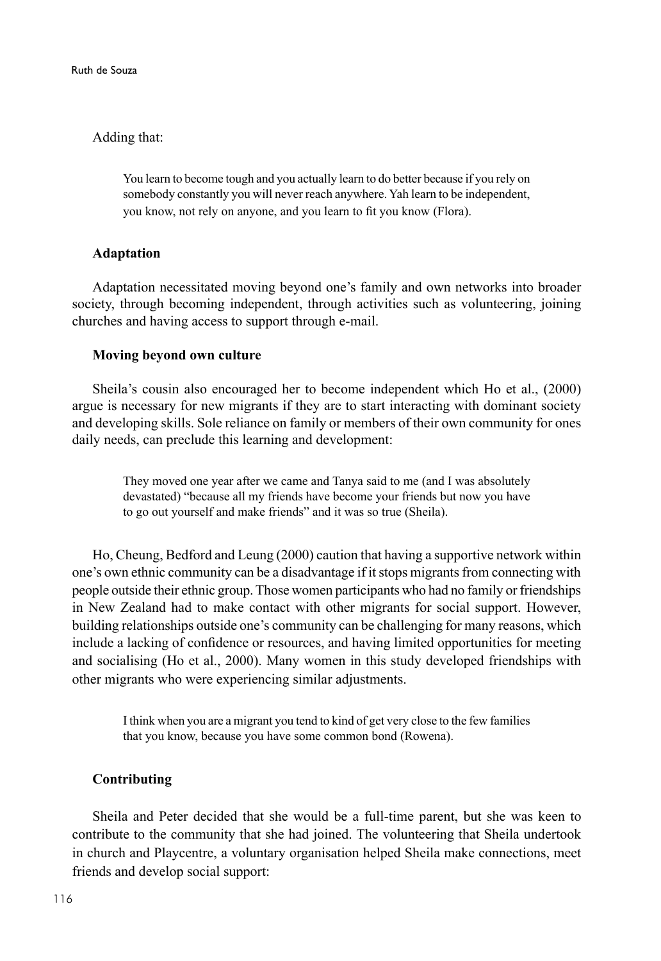# Adding that:

You learn to become tough and you actually learn to do better because if you rely on somebody constantly you will never reach anywhere. Yah learn to be independent, you know, not rely on anyone, and you learn to fit you know (Flora).

# **Adaptation**

Adaptation necessitated moving beyond one's family and own networks into broader society, through becoming independent, through activities such as volunteering, joining churches and having access to support through e-mail.

### **Moving beyond own culture**

Sheila's cousin also encouraged her to become independent which Ho et al., (2000) argue is necessary for new migrants if they are to start interacting with dominant society and developing skills. Sole reliance on family or members of their own community for ones daily needs, can preclude this learning and development:

They moved one year after we came and Tanya said to me (and I was absolutely devastated) "because all my friends have become your friends but now you have to go out yourself and make friends" and it was so true (Sheila).

Ho, Cheung, Bedford and Leung (2000) caution that having a supportive network within one's own ethnic community can be a disadvantage if it stops migrants from connecting with people outside their ethnic group. Those women participants who had no family or friendships in New Zealand had to make contact with other migrants for social support. However, building relationships outside one's community can be challenging for many reasons, which include a lacking of confidence or resources, and having limited opportunities for meeting and socialising (Ho et al., 2000). Many women in this study developed friendships with other migrants who were experiencing similar adjustments.

I think when you are a migrant you tend to kind of get very close to the few families that you know, because you have some common bond (Rowena).

### **Contributing**

Sheila and Peter decided that she would be a full-time parent, but she was keen to contribute to the community that she had joined. The volunteering that Sheila undertook in church and Playcentre, a voluntary organisation helped Sheila make connections, meet friends and develop social support: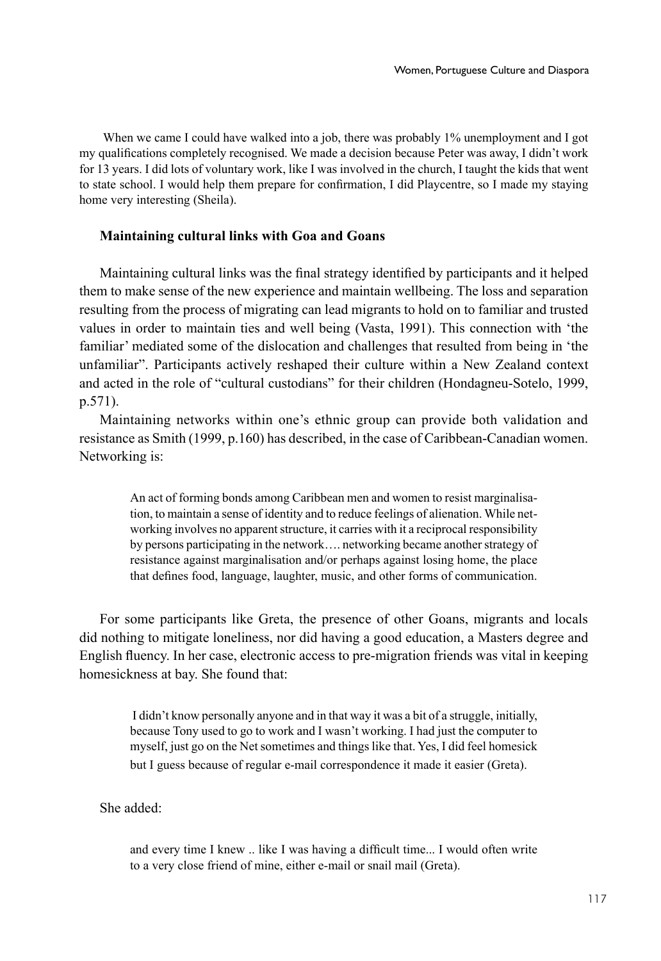When we came I could have walked into a job, there was probably 1% unemployment and I got my qualifications completely recognised. We made a decision because Peter was away, I didn't work for 13 years. I did lots of voluntary work, like I was involved in the church, I taught the kids that went to state school. I would help them prepare for confirmation, I did Playcentre, so I made my staying home very interesting (Sheila).

# **Maintaining cultural links with Goa and Goans**

Maintaining cultural links was the final strategy identified by participants and it helped them to make sense of the new experience and maintain wellbeing. The loss and separation resulting from the process of migrating can lead migrants to hold on to familiar and trusted values in order to maintain ties and well being (Vasta, 1991). This connection with 'the familiar' mediated some of the dislocation and challenges that resulted from being in 'the unfamiliar". Participants actively reshaped their culture within a New Zealand context and acted in the role of "cultural custodians" for their children (Hondagneu-Sotelo, 1999, p.571).

Maintaining networks within one's ethnic group can provide both validation and resistance as Smith (1999, p.160) has described, in the case of Caribbean-Canadian women. Networking is:

> An act of forming bonds among Caribbean men and women to resist marginalisation, to maintain a sense of identity and to reduce feelings of alienation. While networking involves no apparent structure, it carries with it a reciprocal responsibility by persons participating in the network…. networking became another strategy of resistance against marginalisation and/or perhaps against losing home, the place that defines food, language, laughter, music, and other forms of communication.

For some participants like Greta, the presence of other Goans, migrants and locals did nothing to mitigate loneliness, nor did having a good education, a Masters degree and English fluency. In her case, electronic access to pre-migration friends was vital in keeping homesickness at bay. She found that:

 I didn't know personally anyone and in that way it was a bit of a struggle, initially, because Tony used to go to work and I wasn't working. I had just the computer to myself, just go on the Net sometimes and things like that. Yes, I did feel homesick but I guess because of regular e-mail correspondence it made it easier (Greta).

She added:

and every time I knew .. like I was having a difficult time... I would often write to a very close friend of mine, either e-mail or snail mail (Greta).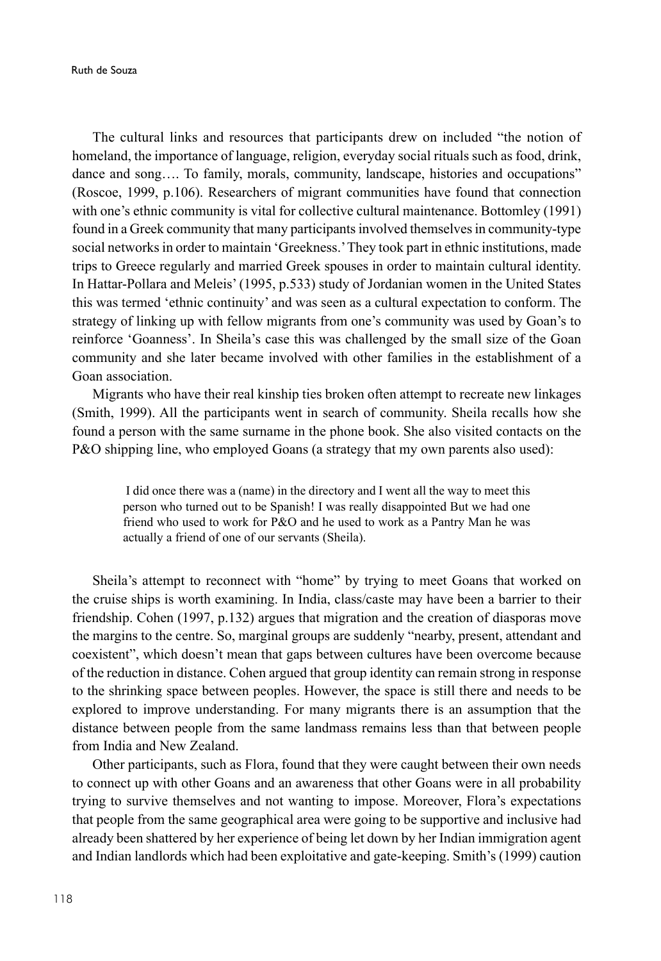Ruth de Souza

The cultural links and resources that participants drew on included "the notion of homeland, the importance of language, religion, everyday social rituals such as food, drink, dance and song…. To family, morals, community, landscape, histories and occupations" (Roscoe, 1999, p.106). Researchers of migrant communities have found that connection with one's ethnic community is vital for collective cultural maintenance. Bottomley (1991) found in a Greek community that many participants involved themselves in community-type social networks in order to maintain 'Greekness.' They took part in ethnic institutions, made trips to Greece regularly and married Greek spouses in order to maintain cultural identity. In Hattar-Pollara and Meleis' (1995, p.533) study of Jordanian women in the United States this was termed 'ethnic continuity' and was seen as a cultural expectation to conform. The strategy of linking up with fellow migrants from one's community was used by Goan's to reinforce 'Goanness'. In Sheila's case this was challenged by the small size of the Goan community and she later became involved with other families in the establishment of a Goan association.

Migrants who have their real kinship ties broken often attempt to recreate new linkages (Smith, 1999). All the participants went in search of community. Sheila recalls how she found a person with the same surname in the phone book. She also visited contacts on the P&O shipping line, who employed Goans (a strategy that my own parents also used):

> I did once there was a (name) in the directory and I went all the way to meet this person who turned out to be Spanish! I was really disappointed But we had one friend who used to work for P&O and he used to work as a Pantry Man he was actually a friend of one of our servants (Sheila).

Sheila's attempt to reconnect with "home" by trying to meet Goans that worked on the cruise ships is worth examining. In India, class/caste may have been a barrier to their friendship. Cohen (1997, p.132) argues that migration and the creation of diasporas move the margins to the centre. So, marginal groups are suddenly "nearby, present, attendant and coexistent", which doesn't mean that gaps between cultures have been overcome because of the reduction in distance. Cohen argued that group identity can remain strong in response to the shrinking space between peoples. However, the space is still there and needs to be explored to improve understanding. For many migrants there is an assumption that the distance between people from the same landmass remains less than that between people from India and New Zealand.

Other participants, such as Flora, found that they were caught between their own needs to connect up with other Goans and an awareness that other Goans were in all probability trying to survive themselves and not wanting to impose. Moreover, Flora's expectations that people from the same geographical area were going to be supportive and inclusive had already been shattered by her experience of being let down by her Indian immigration agent and Indian landlords which had been exploitative and gate-keeping. Smith's (1999) caution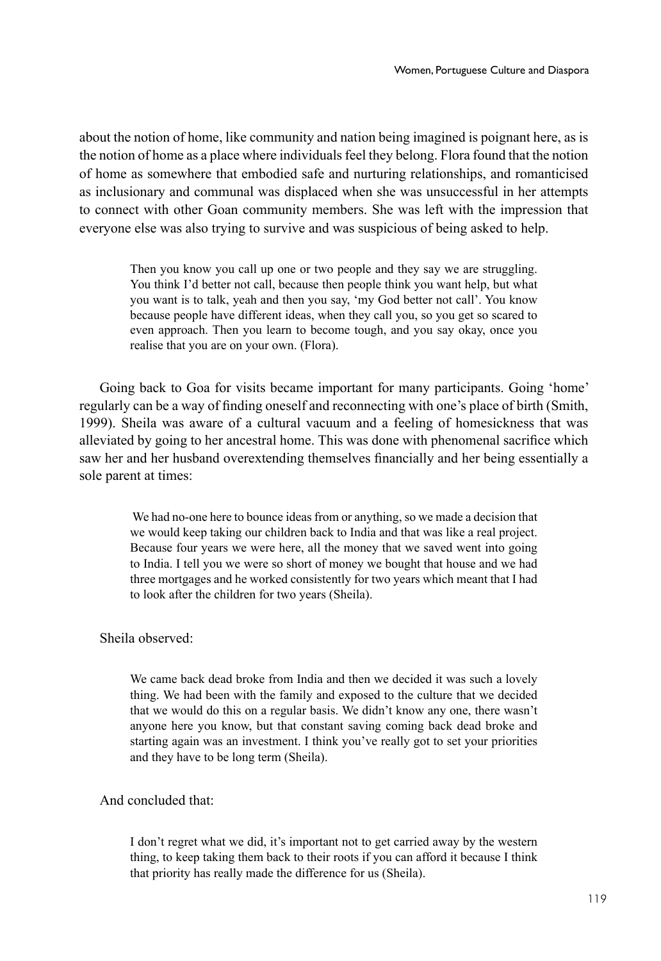about the notion of home, like community and nation being imagined is poignant here, as is the notion of home as a place where individuals feel they belong. Flora found that the notion of home as somewhere that embodied safe and nurturing relationships, and romanticised as inclusionary and communal was displaced when she was unsuccessful in her attempts to connect with other Goan community members. She was left with the impression that everyone else was also trying to survive and was suspicious of being asked to help.

Then you know you call up one or two people and they say we are struggling. You think I'd better not call, because then people think you want help, but what you want is to talk, yeah and then you say, 'my God better not call'. You know because people have different ideas, when they call you, so you get so scared to even approach. Then you learn to become tough, and you say okay, once you realise that you are on your own. (Flora).

Going back to Goa for visits became important for many participants. Going 'home' regularly can be a way of finding oneself and reconnecting with one's place of birth (Smith, 1999). Sheila was aware of a cultural vacuum and a feeling of homesickness that was alleviated by going to her ancestral home. This was done with phenomenal sacrifice which saw her and her husband overextending themselves financially and her being essentially a sole parent at times:

> We had no-one here to bounce ideas from or anything, so we made a decision that we would keep taking our children back to India and that was like a real project. Because four years we were here, all the money that we saved went into going to India. I tell you we were so short of money we bought that house and we had three mortgages and he worked consistently for two years which meant that I had to look after the children for two years (Sheila).

# Sheila observed:

We came back dead broke from India and then we decided it was such a lovely thing. We had been with the family and exposed to the culture that we decided that we would do this on a regular basis. We didn't know any one, there wasn't anyone here you know, but that constant saving coming back dead broke and starting again was an investment. I think you've really got to set your priorities and they have to be long term (Sheila).

# And concluded that:

I don't regret what we did, it's important not to get carried away by the western thing, to keep taking them back to their roots if you can afford it because I think that priority has really made the difference for us (Sheila).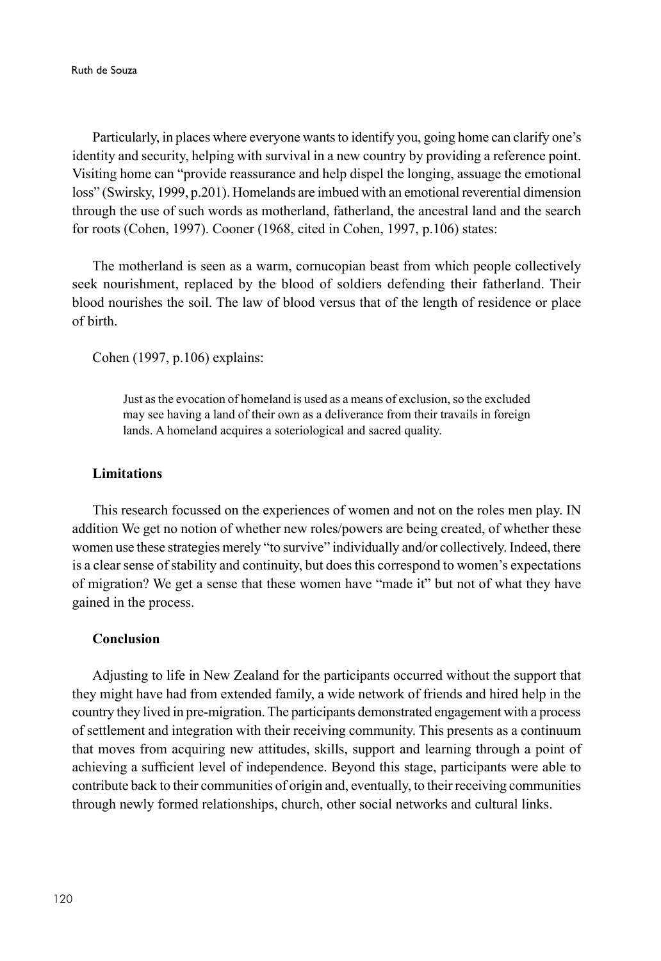Ruth de Souza

Particularly, in places where everyone wants to identify you, going home can clarify one's identity and security, helping with survival in a new country by providing a reference point. Visiting home can "provide reassurance and help dispel the longing, assuage the emotional loss" (Swirsky, 1999, p.201). Homelands are imbued with an emotional reverential dimension through the use of such words as motherland, fatherland, the ancestral land and the search for roots (Cohen, 1997). Cooner (1968, cited in Cohen, 1997, p.106) states:

The motherland is seen as a warm, cornucopian beast from which people collectively seek nourishment, replaced by the blood of soldiers defending their fatherland. Their blood nourishes the soil. The law of blood versus that of the length of residence or place of birth.

Cohen (1997, p.106) explains:

Just as the evocation of homeland is used as a means of exclusion, so the excluded may see having a land of their own as a deliverance from their travails in foreign lands. A homeland acquires a soteriological and sacred quality.

# **Limitations**

This research focussed on the experiences of women and not on the roles men play. IN addition We get no notion of whether new roles/powers are being created, of whether these women use these strategies merely "to survive" individually and/or collectively. Indeed, there is a clear sense of stability and continuity, but does this correspond to women's expectations of migration? We get a sense that these women have "made it" but not of what they have gained in the process.

# **Conclusion**

Adjusting to life in New Zealand for the participants occurred without the support that they might have had from extended family, a wide network of friends and hired help in the country they lived in pre-migration. The participants demonstrated engagement with a process of settlement and integration with their receiving community. This presents as a continuum that moves from acquiring new attitudes, skills, support and learning through a point of achieving a sufficient level of independence. Beyond this stage, participants were able to contribute back to their communities of origin and, eventually, to their receiving communities through newly formed relationships, church, other social networks and cultural links.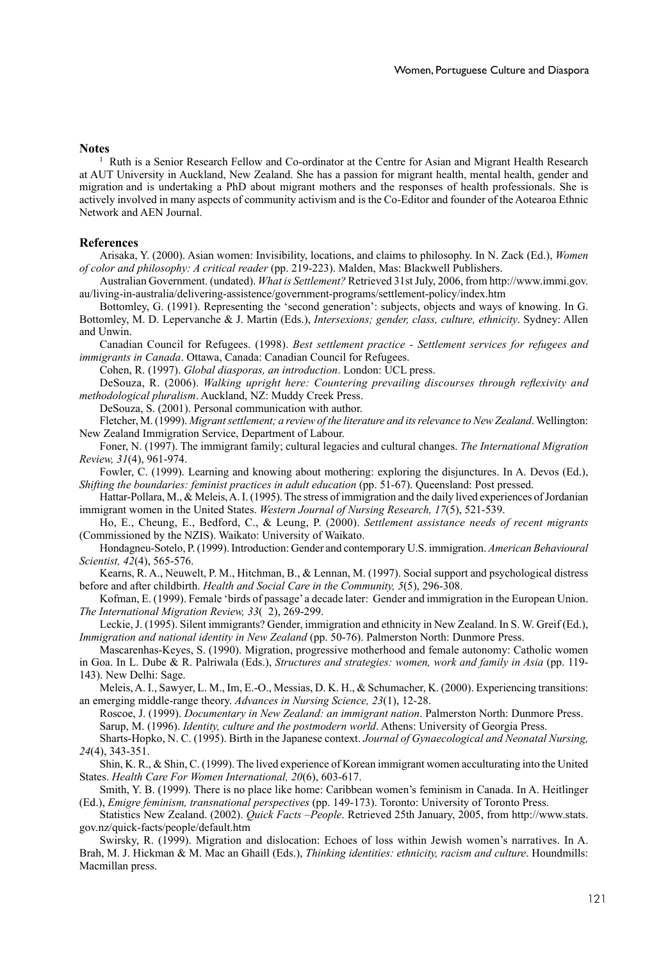### **Notes**

1 Ruth is a Senior Research Fellow and Co-ordinator at the Centre for Asian and Migrant Health Research at AUT University in Auckland, New Zealand. She has a passion for migrant health, mental health, gender and migration and is undertaking a PhD about migrant mothers and the responses of health professionals. She is actively involved in many aspects of community activism and is the Co-Editor and founder of the Aotearoa Ethnic Network and AEN Journal.

### **References**

Arisaka, Y. (2000). Asian women: Invisibility, locations, and claims to philosophy. In N. Zack (Ed.), *Women of color and philosophy: A critical reader* (pp. 219-223). Malden, Mas: Blackwell Publishers.

Australian Government. (undated). *What is Settlement?* Retrieved 31st July, 2006, from http://www.immi.gov. au/living-in-australia/delivering-assistence/government-programs/settlement-policy/index.htm

Bottomley, G. (1991). Representing the 'second generation': subjects, objects and ways of knowing. In G. Bottomley, M. D. Lepervanche & J. Martin (Eds.), *Intersexions; gender, class, culture, ethnicity*. Sydney: Allen and Unwin.

Canadian Council for Refugees. (1998). *Best settlement practice - Settlement services for refugees and immigrants in Canada*. Ottawa, Canada: Canadian Council for Refugees.

Cohen, R. (1997). *Global diasporas, an introduction*. London: UCL press.

DeSouza, R. (2006). *Walking upright here: Countering prevailing discourses through reflexivity and methodological pluralism*. Auckland, NZ: Muddy Creek Press.

DeSouza, S. (2001). Personal communication with author.

Fletcher, M. (1999). *Migrant settlement; a review of the literature and its relevance to New Zealand*. Wellington: New Zealand Immigration Service, Department of Labour.

Foner, N. (1997). The immigrant family; cultural legacies and cultural changes. *The International Migration Review, 31*(4), 961-974.

Fowler, C. (1999). Learning and knowing about mothering: exploring the disjunctures. In A. Devos (Ed.), *Shifting the boundaries: feminist practices in adult education* (pp. 51-67). Queensland: Post pressed.

Hattar-Pollara, M., & Meleis, A. I. (1995). The stress of immigration and the daily lived experiences of Jordanian immigrant women in the United States. *Western Journal of Nursing Research, 17*(5), 521-539.

Ho, E., Cheung, E., Bedford, C., & Leung, P. (2000). *Settlement assistance needs of recent migrants* (Commissioned by the NZIS). Waikato: University of Waikato.

Hondagneu-Sotelo, P. (1999). Introduction: Gender and contemporary U.S. immigration. *American Behavioural Scientist, 42*(4), 565-576.

Kearns, R. A., Neuwelt, P. M., Hitchman, B., & Lennan, M. (1997). Social support and psychological distress before and after childbirth. *Health and Social Care in the Community, 5*(5), 296-308.

Kofman, E. (1999). Female 'birds of passage' a decade later: Gender and immigration in the European Union. *The International Migration Review, 33*( 2), 269-299.

Leckie, J. (1995). Silent immigrants? Gender, immigration and ethnicity in New Zealand. In S. W. Greif (Ed.), *Immigration and national identity in New Zealand* (pp. 50-76). Palmerston North: Dunmore Press.

Mascarenhas-Keyes, S. (1990). Migration, progressive motherhood and female autonomy: Catholic women in Goa. In L. Dube & R. Palriwala (Eds.), *Structures and strategies: women, work and family in Asia* (pp. 119- 143). New Delhi: Sage.

Meleis, A. I., Sawyer, L. M., Im, E.-O., Messias, D. K. H., & Schumacher, K. (2000). Experiencing transitions: an emerging middle-range theory. *Advances in Nursing Science, 23*(1), 12-28.

Roscoe, J. (1999). *Documentary in New Zealand: an immigrant nation*. Palmerston North: Dunmore Press. Sarup, M. (1996). *Identity, culture and the postmodern world*. Athens: University of Georgia Press.

Sharts-Hopko, N. C. (1995). Birth in the Japanese context. *Journal of Gynaecological and Neonatal Nursing, 24*(4), 343-351.

Shin, K. R., & Shin, C. (1999). The lived experience of Korean immigrant women acculturating into the United States. *Health Care For Women International, 20*(6), 603-617.

Smith, Y. B. (1999). There is no place like home: Caribbean women's feminism in Canada. In A. Heitlinger (Ed.), *Emigre feminism, transnational perspectives* (pp. 149-173). Toronto: University of Toronto Press.

Statistics New Zealand. (2002). *Quick Facts –People*. Retrieved 25th January, 2005, from http://www.stats. gov.nz/quick-facts/people/default.htm

Swirsky, R. (1999). Migration and dislocation: Echoes of loss within Jewish women's narratives. In A. Brah, M. J. Hickman & M. Mac an Ghaill (Eds.), *Thinking identities: ethnicity, racism and culture*. Houndmills: Macmillan press.